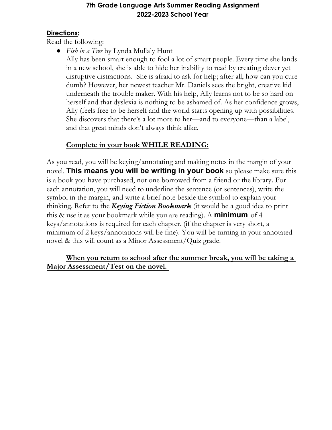#### 7th Grade Language Arts Summer Reading Assignment 2022-2023 School Year

#### **Directions:**

Read the following:

• Fish in a Tree by Lynda Mullaly Hunt

Ally has been smart enough to fool a lot of smart people. Every time she lands in a new school, she is able to hide her inability to read by creating clever yet disruptive distractions. She is afraid to ask for help; after all, how can you cure dumb? However, her newest teacher Mr. Daniels sees the bright, creative kid underneath the trouble maker. With his help, Ally learns not to be so hard on herself and that dyslexia is nothing to be ashamed of. As her confidence grows, Ally (feels free to be herself and the world starts opening up with possibilities. She discovers that there's a lot more to her—and to everyone—than a label, and that great minds don't always think alike.

### Complete in your book WHILE READING:

As you read, you will be keying/annotating and making notes in the margin of your novel. This means you will be writing in your book so please make sure this is a book you have purchased, not one borrowed from a friend or the library. For each annotation, you will need to underline the sentence (or sentences), write the symbol in the margin, and write a brief note beside the symbol to explain your thinking. Refer to the *Keying Fiction Bookmark* (it would be a good idea to print this & use it as your bookmark while you are reading). A **minimum** of 4 keys/annotations is required for each chapter. (if the chapter is very short, a minimum of 2 keys/annotations will be fine). You will be turning in your annotated novel & this will count as a Minor Assessment/Quiz grade.

#### When you return to school after the summer break, you will be taking a Major Assessment/Test on the novel.